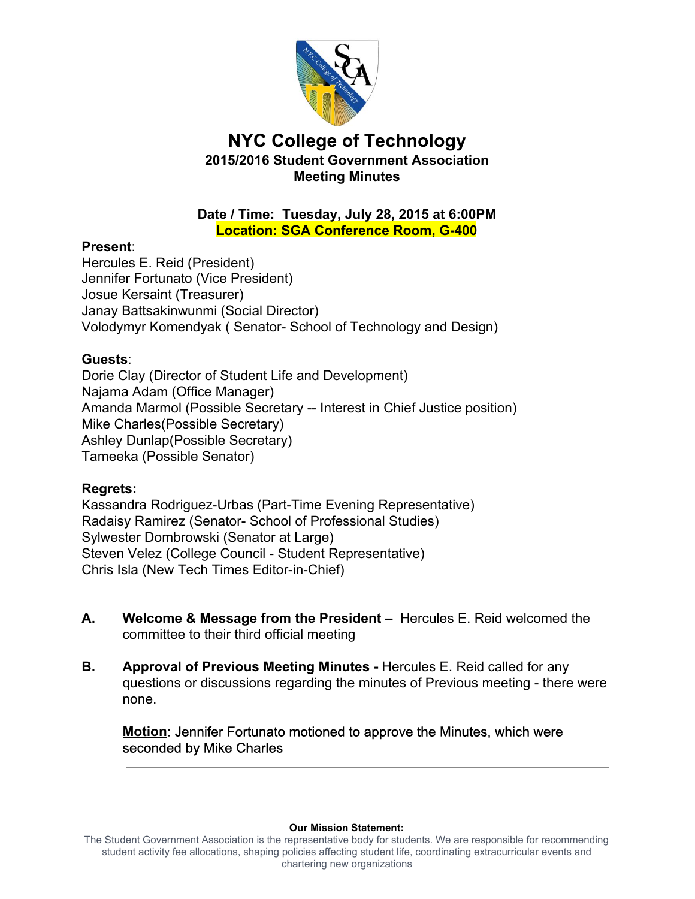

# **NYC College of Technology 2015/2016 Student Government Association Meeting Minutes**

## **Date / Time: Tuesday, July 28, 2015 at 6:00PM Location: SGA Conference Room, G400**

### **Present**:

 Hercules E. Reid (President) Jennifer Fortunato (Vice President) Josue Kersaint (Treasurer) Janay Battsakinwunmi (Social Director) Volodymyr Komendyak ( Senator- School of Technology and Design)

## **Guests**:

 Dorie Clay (Director of Student Life and Development) Najama Adam (Office Manager) Amanda Marmol (Possible Secretary -- Interest in Chief Justice position) Mike Charles(Possible Secretary) Ashley Dunlap(Possible Secretary) Tameeka (Possible Senator)

## **Regrets:**

Kassandra Rodriguez-Urbas (Part-Time Evening Representative) Radaisy Ramirez (Senator- School of Professional Studies) Sylwester Dombrowski (Senator at Large) Steven Velez (College Council - Student Representative) Chris Isla (New Tech Times Editor-in-Chief)

- **A. Welcome & Message from the President –** Hercules E. Reid welcomed the committee to their third official meeting
- **B.** Approval of Previous Meeting Minutes Hercules E. Reid called for any questions or discussions regarding the minutes of Previous meeting - there were none.

 **Motion**: Jennifer Fortunato motioned to approve the Minutes, which were seconded by Mike Charles

#### **Our Mission Statement:**

 The Student Government Association is the representative body for students. We are responsible for recommending student activity fee allocations, shaping policies affecting student life, coordinating extracurricular events and chartering new organizations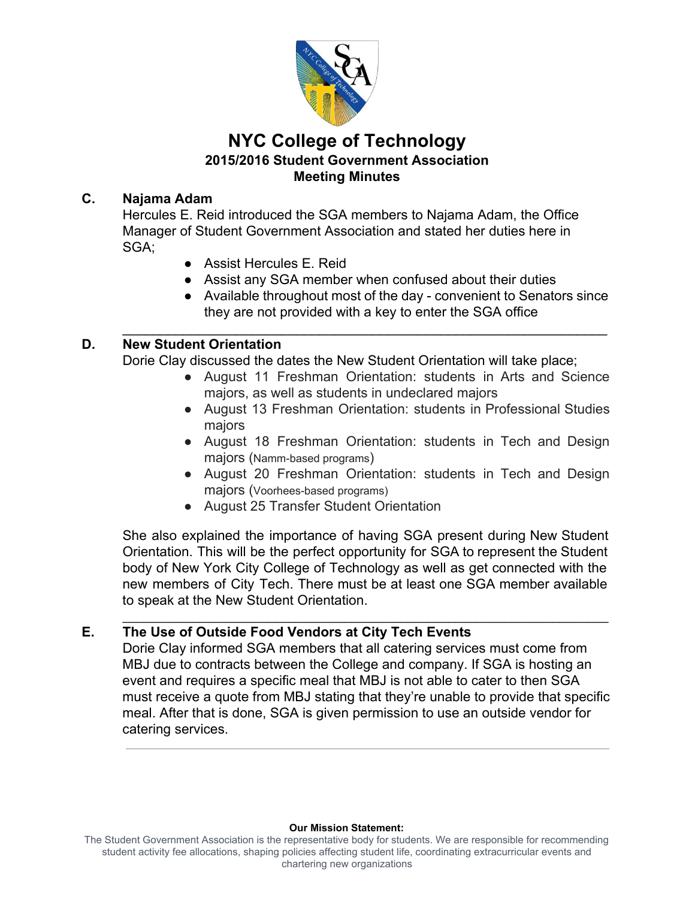

# **NYC College of Technology 2015/2016 Student Government Association Meeting Minutes**

## **C. Najama Adam**

 Hercules E. Reid introduced the SGA members to Najama Adam, the Office Manager of Student Government Association and stated her duties here in SGA;

- Assist Hercules E. Reid
- Assist any SGA member when confused about their duties

 $\mathcal{L}_\text{max}$  and  $\mathcal{L}_\text{max}$  and  $\mathcal{L}_\text{max}$  and  $\mathcal{L}_\text{max}$  and  $\mathcal{L}_\text{max}$  and  $\mathcal{L}_\text{max}$ 

 ● Available throughout most of the day convenient to Senators since they are not provided with a key to enter the SGA office

## **D. New Student Orientation**

Dorie Clay discussed the dates the New Student Orientation will take place;

- August 11 Freshman Orientation: students in Arts and Science majors, as well as students in undeclared majors
- August 13 Freshman Orientation: students in Professional Studies majors
- August 18 Freshman Orientation: students in Tech and Design majors (Namm-based programs)
- August 20 Freshman Orientation: students in Tech and Design majors (Voorhees-based programs)
- August 25 Transfer Student Orientation

 She also explained the importance of having SGA present during New Student Orientation. This will be the perfect opportunity for SGA to represent the Student body of New York City College of Technology as well as get connected with the new members of City Tech. There must be at least one SGA member available to speak at the New Student Orientation.

\_\_\_\_\_\_\_\_\_\_\_\_\_\_\_\_\_\_\_\_\_\_\_\_\_\_\_\_\_\_\_\_\_\_\_\_\_\_\_\_\_\_\_\_\_\_\_\_\_\_\_\_\_\_\_\_\_\_\_\_\_\_\_\_\_\_\_\_\_\_

## **E. The Use of Outside Food Vendors at City Tech Events**

 Dorie Clay informed SGA members that all catering services must come from MBJ due to contracts between the College and company. If SGA is hosting an event and requires a specific meal that MBJ is not able to cater to then SGA must receive a quote from MBJ stating that they're unable to provide that specific meal. After that is done, SGA is given permission to use an outside vendor for catering services.

#### **Our Mission Statement:**

 The Student Government Association is the representative body for students. We are responsible for recommending student activity fee allocations, shaping policies affecting student life, coordinating extracurricular events and chartering new organizations